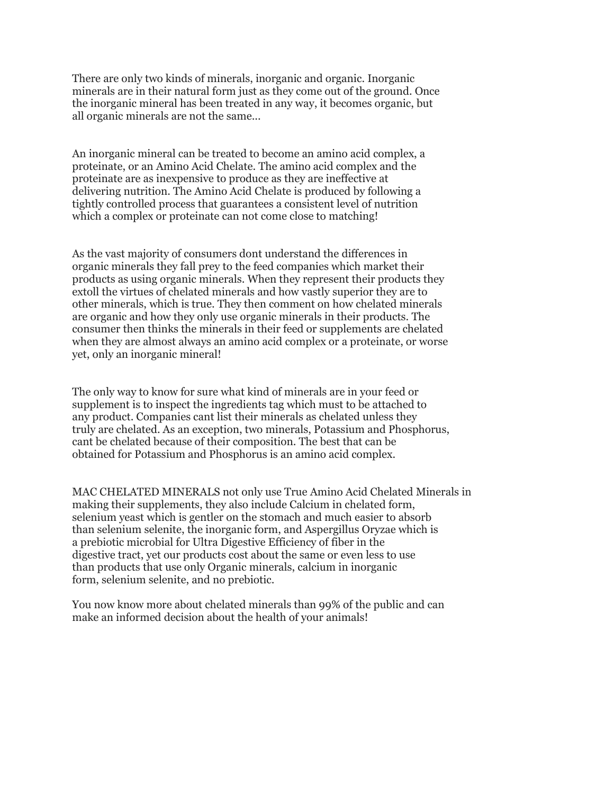There are only two kinds of minerals, inorganic and organic. Inorganic minerals are in their natural form just as they come out of the ground. Once the inorganic mineral has been treated in any way, it becomes organic, but all organic minerals are not the same...

An inorganic mineral can be treated to become an amino acid complex, a proteinate, or an Amino Acid Chelate. The amino acid complex and the proteinate are as inexpensive to produce as they are ineffective at delivering nutrition. The Amino Acid Chelate is produced by following a tightly controlled process that guarantees a consistent level of nutrition which a complex or proteinate can not come close to matching!

As the vast majority of consumers dont understand the differences in organic minerals they fall prey to the feed companies which market their products as using organic minerals. When they represent their products they extoll the virtues of chelated minerals and how vastly superior they are to other minerals, which is true. They then comment on how chelated minerals are organic and how they only use organic minerals in their products. The consumer then thinks the minerals in their feed or supplements are chelated when they are almost always an amino acid complex or a proteinate, or worse yet, only an inorganic mineral!

The only way to know for sure what kind of minerals are in your feed or supplement is to inspect the ingredients tag which must to be attached to any product. Companies cant list their minerals as chelated unless they truly are chelated. As an exception, two minerals, Potassium and Phosphorus, cant be chelated because of their composition. The best that can be obtained for Potassium and Phosphorus is an amino acid complex.

MAC CHELATED MINERALS not only use True Amino Acid Chelated Minerals in making their supplements, they also include Calcium in chelated form, selenium yeast which is gentler on the stomach and much easier to absorb than selenium selenite, the inorganic form, and Aspergillus Oryzae which is a prebiotic microbial for Ultra Digestive Efficiency of fiber in the digestive tract, yet our products cost about the same or even less to use than products that use only Organic minerals, calcium in inorganic form, selenium selenite, and no prebiotic.

You now know more about chelated minerals than 99% of the public and can make an informed decision about the health of your animals!